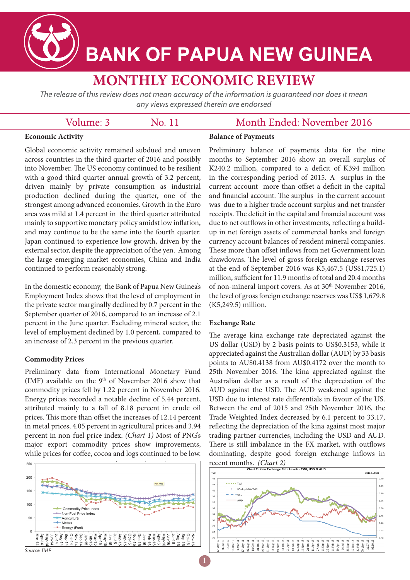

# **BANK OF PAPUA NEW GUINEA**

# **MONTHLY ECONOMIC REVIEW**

The release of this review does not mean accuracy of the information is quaranteed nor does it mean any views expressed therein are endorsed

No. 11

|  | Volume: 3 |  |
|--|-----------|--|
|--|-----------|--|

## Month Ended: November 2016

#### **Economic Activity**

**Balance of Payments**

Global economic activity remained subdued and uneven across countries in the third quarter of 2016 and possibly into November. The US economy continued to be resilient with a good third quarter annual growth of 3.2 percent, driven mainly by private consumption as industrial production declined during the quarter, one of the strongest among advanced economies. Growth in the Euro area was mild at 1.4 percent in the third quarter attributed mainly to supportive monetary policy amidst low inflation, and may continue to be the same into the fourth quarter. Japan continued to experience low growth, driven by the external sector, despite the appreciation of the yen. Among the large emerging market economies, China and India continued to perform reasonably strong.

In the domestic economy, the Bank of Papua New Guinea's Employment Index shows that the level of employment in the private sector marginally declined by 0.7 percent in the September quarter of 2016, compared to an increase of 2.1 percent in the June quarter. Excluding mineral sector, the level of employment declined by 1.0 percent, compared to an increase of 2.3 percent in the previous quarter.

#### **Commodity Prices**

Preliminary data from International Monetary Fund (IMF) available on the  $9<sup>th</sup>$  of November 2016 show that commodity prices fell by 1.22 percent in November 2016. Energy prices recorded a notable decline of 5.44 percent, attributed mainly to a fall of 8.18 percent in crude oil prices. This more than offset the increases of 12.14 percent in metal prices, 4.05 percent in agricultural prices and 3.94 percent in non-fuel price index. *(Chart 1)* Most of PNG's major export commodity prices show improvements, while prices for coffee, cocoa and logs continued to be low.



Preliminary balance of payments data for the nine months to September 2016 show an overall surplus of K240.2 million, compared to a deficit of K394 million in the corresponding period of 2015. A surplus in the current account more than offset a deficit in the capital and financial account. The surplus in the current account was due to a higher trade account surplus and net transfer receipts. The deficit in the capital and financial account was due to net outflows in other investments, reflecting a buildup in net foreign assets of commercial banks and foreign currency account balances of resident mineral companies. These more than offset inflows from net Government loan drawdowns. The level of gross foreign exchange reserves at the end of September 2016 was K5,467.5 (US\$1,725.1) million, sufficient for 11.9 months of total and 20.4 months of non-mineral import covers. As at 30<sup>th</sup> November 2016, the level of gross foreign exchange reserves was US\$ 1,679.8 (K5,249.5) million.

#### **Exchange Rate**

The average kina exchange rate depreciated against the US dollar (USD) by 2 basis points to US\$0.3153, while it appreciated against the Australian dollar (AUD) by 33 basis points to AU\$0.4138 from AU\$0.4172 over the month to 25th November 2016. The kina appreciated against the Australian dollar as a result of the depreciation of the AUD against the USD. The AUD weakened against the USD due to interest rate differentials in favour of the US. Between the end of 2015 and 25th November 2016, the Trade Weighted Index decreased by 6.1 percent to 33.17, reflecting the depreciation of the kina against most major trading partner currencies, including the USD and AUD. There is still imbalance in the FX market, with outflows dominating, despite good foreign exchange inflows in recent months. *(Chart 2)*

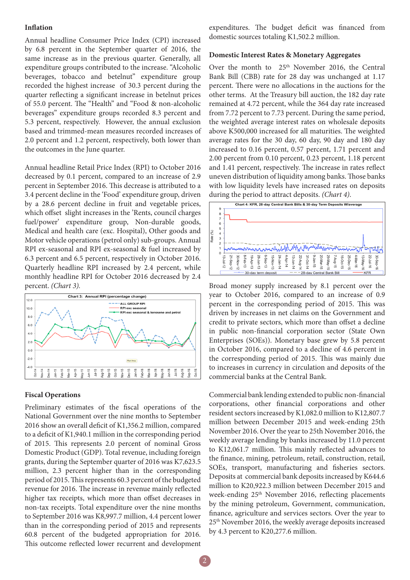#### **Inflation**

Annual headline Consumer Price Index (CPI) increased by 6.8 percent in the September quarter of 2016, the same increase as in the previous quarter. Generally, all expenditure groups contributed to the increase. "Alcoholic beverages, tobacco and betelnut" expenditure group recorded the highest increase of 30.3 percent during the quarter reflecting a significant increase in betelnut prices of 55.0 percent. The "Health" and "Food & non-alcoholic beverages" expenditure groups recorded 8.3 percent and 5.3 percent, respectively. However, the annual exclusion based and trimmed-mean measures recorded increases of 2.0 percent and 1.2 percent, respectively, both lower than the outcomes in the June quarter.

Annual headline Retail Price Index (RPI) to October 2016 decreased by 0.1 percent, compared to an increase of 2.9 percent in September 2016. This decrease is attributed to a 3.4 percent decline in the 'Food' expenditure group, driven by a 28.6 percent decline in fruit and vegetable prices, which offset slight increases in the 'Rents, council charges fuel/power' expenditure group, Non-durable goods, Medical and health care (exc. Hospital), Other goods and Motor vehicle operations (petrol only) sub-groups. Annual RPI ex-seasonal and RPI ex-seasonal & fuel increased by 6.3 percent and 6.5 percent, respectively in October 2016. Quarterly headline RPI increased by 2.4 percent, while monthly headline RPI for October 2016 decreased by 2.4 percent. *(Chart 3).*



#### **Fiscal Operations**

Preliminary estimates of the fiscal operations of the National Government over the nine months to September 2016 show an overall deficit of K1,356.2 million, compared to a deficit of K1,940.1 million in the corresponding period of 2015. This represents 2.0 percent of nominal Gross Domestic Product (GDP). Total revenue, including foreign grants, during the September quarter of 2016 was K7,623.5 million, 2.3 percent higher than in the corresponding period of 2015. This represents 60.3 percent of the budgeted revenue for 2016. The increase in revenue mainly reflected higher tax receipts, which more than offset decreases in non-tax receipts. Total expenditure over the nine months to September 2016 was K8,997.7 million, 4.4 percent lower than in the corresponding period of 2015 and represents 60.8 percent of the budgeted appropriation for 2016. This outcome reflected lower recurrent and development expenditures. The budget deficit was financed from domestic sources totaling K1,502.2 million.

#### **Domestic Interest Rates & Monetary Aggregates**

Over the month to 25<sup>th</sup> November 2016, the Central Bank Bill (CBB) rate for 28 day was unchanged at 1.17 percent. There were no allocations in the auctions for the other terms. At the Treasury bill auction, the 182 day rate remained at 4.72 percent, while the 364 day rate increased from 7.72 percent to 7.73 percent. During the same period, the weighted average interest rates on wholesale deposits above K500,000 increased for all maturities. The weighted average rates for the 30 day, 60 day, 90 day and 180 day increased to 0.16 percent, 0.57 percent, 1.71 percent and 2.00 percent from 0.10 percent, 0.23 percent, 1.18 percent and 1.41 percent, respectively. The increase in rates reflect uneven distribution of liquidity among banks. Those banks with low liquidity levels have increased rates on deposits during the period to attract deposits. *(Chart 4)*.



Broad money supply increased by 8.1 percent over the year to October 2016, compared to an increase of 0.9 percent in the corresponding period of 2015. This was driven by increases in net claims on the Government and credit to private sectors, which more than offset a decline in public non-financial corporation sector (State Own Enterprises (SOEs)). Monetary base grew by 5.8 percent in October 2016, compared to a decline of 4.6 percent in the corresponding period of 2015. This was mainly due to increases in currency in circulation and deposits of the commercial banks at the Central Bank.

Commercial bank lending extended to public non-financial corporations, other financial corporations and other resident sectors increased by K1,082.0 million to K12,807.7 million between December 2015 and week-ending 25th November 2016. Over the year to 25th November 2016, the weekly average lending by banks increased by 11.0 percent to K12,061.7 million. This mainly reflected advances to the finance, mining, petroleum, retail, construction, retail, SOEs, transport, manufacturing and fisheries sectors. Deposits at commercial bank deposits increased by K644.6 million to K20,922.3 million between December 2015 and week-ending 25<sup>th</sup> November 2016, reflecting placements by the mining petroleum, Government, communication, finance, agriculture and services sectors. Over the year to 25th November 2016, the weekly average deposits increased by 4.3 percent to K20,277.6 million.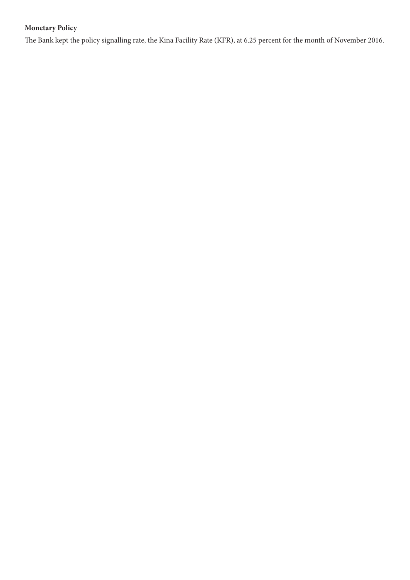### **Monetary Policy**

The Bank kept the policy signalling rate, the Kina Facility Rate (KFR), at 6.25 percent for the month of November 2016.